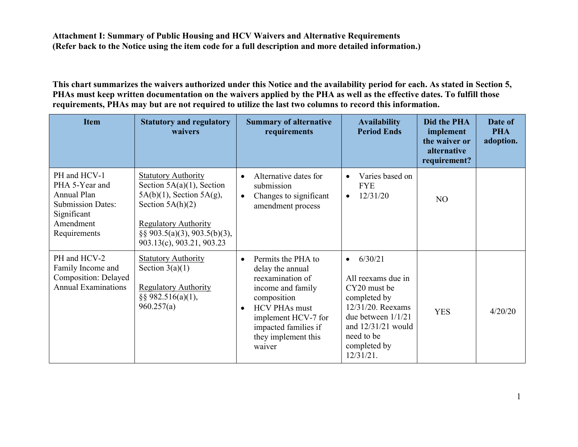**This chart summarizes the waivers authorized under this Notice and the availability period for each. As stated in Section 5, PHAs must keep written documentation on the waivers applied by the PHA as well as the effective dates. To fulfill those requirements, PHAs may but are not required to utilize the last two columns to record this information.**

| <b>Item</b>                                                                                                           | <b>Statutory and regulatory</b><br>waivers                                                                                                                                                                         | <b>Summary of alternative</b><br>requirements                                                                                                                                                                                    | <b>Availability</b><br><b>Period Ends</b>                                                                                                                                                  | Did the PHA<br>implement<br>the waiver or<br>alternative<br>requirement? | Date of<br><b>PHA</b><br>adoption. |
|-----------------------------------------------------------------------------------------------------------------------|--------------------------------------------------------------------------------------------------------------------------------------------------------------------------------------------------------------------|----------------------------------------------------------------------------------------------------------------------------------------------------------------------------------------------------------------------------------|--------------------------------------------------------------------------------------------------------------------------------------------------------------------------------------------|--------------------------------------------------------------------------|------------------------------------|
| PH and HCV-1<br>PHA 5-Year and<br>Annual Plan<br><b>Submission Dates:</b><br>Significant<br>Amendment<br>Requirements | <b>Statutory Authority</b><br>Section $5A(a)(1)$ , Section<br>$5A(b)(1)$ , Section $5A(g)$ ,<br>Section $5A(h)(2)$<br><b>Regulatory Authority</b><br>$\S$ § 903.5(a)(3), 903.5(b)(3),<br>903.13(c), 903.21, 903.23 | Alternative dates for<br>$\bullet$<br>submission<br>Changes to significant<br>$\bullet$<br>amendment process                                                                                                                     | Varies based on<br>$\bullet$<br><b>FYE</b><br>12/31/20<br>$\bullet$                                                                                                                        | N <sub>O</sub>                                                           |                                    |
| PH and HCV-2<br>Family Income and<br>Composition: Delayed<br><b>Annual Examinations</b>                               | <b>Statutory Authority</b><br>Section $3(a)(1)$<br><b>Regulatory Authority</b><br>$\S$ § 982.516(a)(1),<br>960.257(a)                                                                                              | Permits the PHA to<br>$\bullet$<br>delay the annual<br>reexamination of<br>income and family<br>composition<br><b>HCV PHAs must</b><br>$\bullet$<br>implement HCV-7 for<br>impacted families if<br>they implement this<br>waiver | 6/30/21<br>$\bullet$<br>All reexams due in<br>CY20 must be<br>completed by<br>12/31/20. Reexams<br>due between $1/1/21$<br>and $12/31/21$ would<br>need to be<br>completed by<br>12/31/21. | <b>YES</b>                                                               | 4/20/20                            |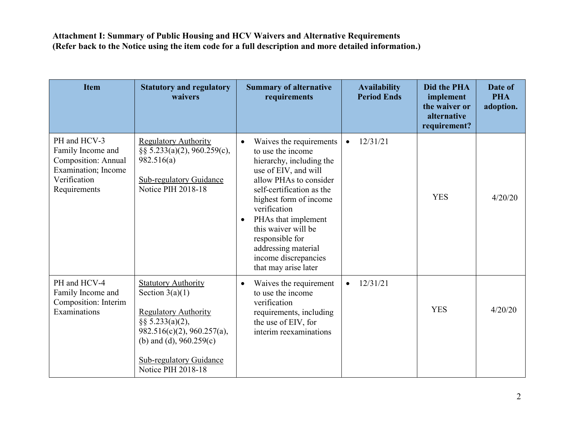| <b>Item</b>                                                                                                            | <b>Statutory and regulatory</b><br>waivers                                                                                                                                                                               | <b>Summary of alternative</b><br>requirements                                                                                                                                                                                                                                                                                                                       | <b>Availability</b><br><b>Period Ends</b> | <b>Did the PHA</b><br>implement<br>the waiver or<br>alternative<br>requirement? | Date of<br><b>PHA</b><br>adoption. |
|------------------------------------------------------------------------------------------------------------------------|--------------------------------------------------------------------------------------------------------------------------------------------------------------------------------------------------------------------------|---------------------------------------------------------------------------------------------------------------------------------------------------------------------------------------------------------------------------------------------------------------------------------------------------------------------------------------------------------------------|-------------------------------------------|---------------------------------------------------------------------------------|------------------------------------|
| PH and HCV-3<br>Family Income and<br><b>Composition: Annual</b><br>Examination; Income<br>Verification<br>Requirements | <b>Regulatory Authority</b><br>§§ 5.233(a)(2), 960.259(c),<br>982.516(a)<br><b>Sub-regulatory Guidance</b><br>Notice PIH 2018-18                                                                                         | Waives the requirements<br>$\bullet$<br>to use the income<br>hierarchy, including the<br>use of EIV, and will<br>allow PHAs to consider<br>self-certification as the<br>highest form of income<br>verification<br>PHAs that implement<br>$\bullet$<br>this waiver will be<br>responsible for<br>addressing material<br>income discrepancies<br>that may arise later | 12/31/21<br>$\bullet$                     | <b>YES</b>                                                                      | 4/20/20                            |
| PH and HCV-4<br>Family Income and<br>Composition: Interim<br>Examinations                                              | <b>Statutory Authority</b><br>Section $3(a)(1)$<br><b>Regulatory Authority</b><br>$\S$ § 5.233(a)(2),<br>982.516(c)(2), 960.257(a),<br>(b) and (d), $960.259(c)$<br><b>Sub-regulatory Guidance</b><br>Notice PIH 2018-18 | Waives the requirement<br>$\bullet$<br>to use the income<br>verification<br>requirements, including<br>the use of EIV, for<br>interim reexaminations                                                                                                                                                                                                                | 12/31/21<br>$\bullet$                     | <b>YES</b>                                                                      | 4/20/20                            |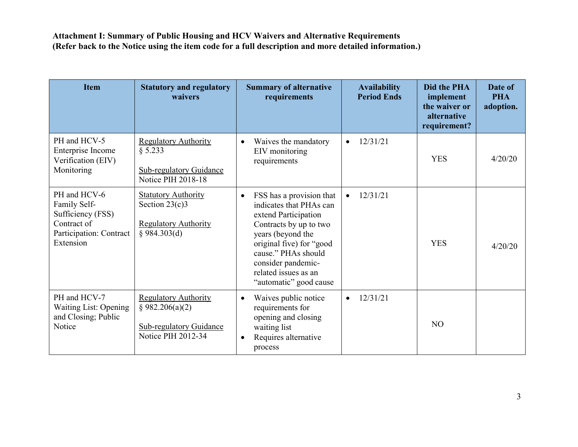| <b>Item</b>                                                                                              | <b>Statutory and regulatory</b><br>waivers                                                             | <b>Summary of alternative</b><br>requirements                                                                                                                                                                                                                      | <b>Availability</b><br><b>Period Ends</b> | <b>Did the PHA</b><br>implement<br>the waiver or<br>alternative<br>requirement? | Date of<br><b>PHA</b><br>adoption. |
|----------------------------------------------------------------------------------------------------------|--------------------------------------------------------------------------------------------------------|--------------------------------------------------------------------------------------------------------------------------------------------------------------------------------------------------------------------------------------------------------------------|-------------------------------------------|---------------------------------------------------------------------------------|------------------------------------|
| PH and HCV-5<br>Enterprise Income<br>Verification (EIV)<br>Monitoring                                    | <b>Regulatory Authority</b><br>§ 5.233<br><b>Sub-regulatory Guidance</b><br><b>Notice PIH 2018-18</b>  | Waives the mandatory<br>$\bullet$<br>EIV monitoring<br>requirements                                                                                                                                                                                                | 12/31/21<br>$\bullet$                     | <b>YES</b>                                                                      | 4/20/20                            |
| PH and HCV-6<br>Family Self-<br>Sufficiency (FSS)<br>Contract of<br>Participation: Contract<br>Extension | <b>Statutory Authority</b><br>Section $23(c)3$<br><b>Regulatory Authority</b><br>§ 984.303(d)          | FSS has a provision that<br>$\bullet$<br>indicates that PHAs can<br>extend Participation<br>Contracts by up to two<br>years (beyond the<br>original five) for "good<br>cause." PHAs should<br>consider pandemic-<br>related issues as an<br>"automatic" good cause | 12/31/21<br>$\bullet$                     | <b>YES</b>                                                                      | 4/20/20                            |
| PH and HCV-7<br><b>Waiting List: Opening</b><br>and Closing; Public<br>Notice                            | <b>Regulatory Authority</b><br>§ 982.206(a)(2)<br><b>Sub-regulatory Guidance</b><br>Notice PIH 2012-34 | Waives public notice<br>$\bullet$<br>requirements for<br>opening and closing<br>waiting list<br>Requires alternative<br>$\bullet$<br>process                                                                                                                       | 12/31/21<br>$\bullet$                     | N <sub>O</sub>                                                                  |                                    |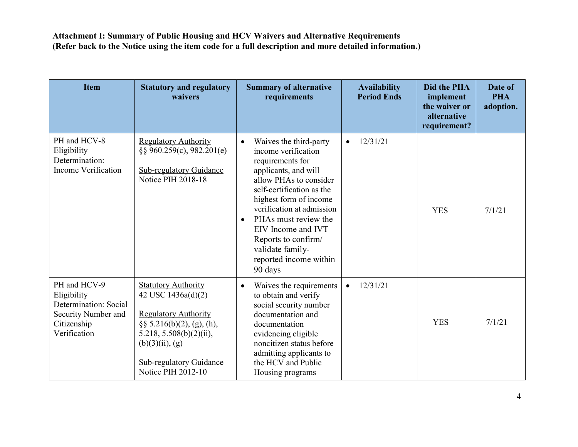| <b>Item</b>                                                                                                | <b>Statutory and regulatory</b><br>waivers                                                                                                                                                                             | <b>Summary of alternative</b><br>requirements                                                                                                                                                                                                                                                                                                                   | <b>Availability</b><br><b>Period Ends</b> | Did the PHA<br>implement<br>the waiver or<br>alternative<br>requirement? | Date of<br><b>PHA</b><br>adoption. |
|------------------------------------------------------------------------------------------------------------|------------------------------------------------------------------------------------------------------------------------------------------------------------------------------------------------------------------------|-----------------------------------------------------------------------------------------------------------------------------------------------------------------------------------------------------------------------------------------------------------------------------------------------------------------------------------------------------------------|-------------------------------------------|--------------------------------------------------------------------------|------------------------------------|
| PH and HCV-8<br>Eligibility<br>Determination:<br>Income Verification                                       | <b>Regulatory Authority</b><br>$\S$ § 960.259(c), 982.201(e)<br><b>Sub-regulatory Guidance</b><br>Notice PIH 2018-18                                                                                                   | Waives the third-party<br>$\bullet$<br>income verification<br>requirements for<br>applicants, and will<br>allow PHAs to consider<br>self-certification as the<br>highest form of income<br>verification at admission<br>PHAs must review the<br>$\bullet$<br>EIV Income and IVT<br>Reports to confirm/<br>validate family-<br>reported income within<br>90 days | 12/31/21<br>$\bullet$                     | <b>YES</b>                                                               | 7/1/21                             |
| PH and HCV-9<br>Eligibility<br>Determination: Social<br>Security Number and<br>Citizenship<br>Verification | <b>Statutory Authority</b><br>42 USC 1436a(d)(2)<br><b>Regulatory Authority</b><br>$\S\S 5.216(b)(2)$ , (g), (h),<br>5.218, $5.508(b)(2)(ii)$ ,<br>$(b)(3)(ii)$ , (g)<br>Sub-regulatory Guidance<br>Notice PIH 2012-10 | Waives the requirements<br>$\bullet$<br>to obtain and verify<br>social security number<br>documentation and<br>documentation<br>evidencing eligible<br>noncitizen status before<br>admitting applicants to<br>the HCV and Public<br>Housing programs                                                                                                            | 12/31/21<br>$\bullet$                     | <b>YES</b>                                                               | 7/1/21                             |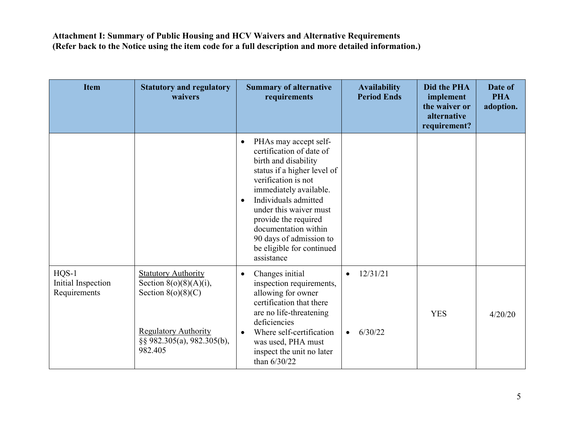| <b>Item</b>                                   | <b>Statutory and regulatory</b><br>waivers                                                                                                              | <b>Summary of alternative</b><br>requirements                                                                                                                                                                                                                                                                                                               | <b>Availability</b><br><b>Period Ends</b>     | Did the PHA<br>implement<br>the waiver or<br>alternative<br>requirement? | Date of<br><b>PHA</b><br>adoption. |
|-----------------------------------------------|---------------------------------------------------------------------------------------------------------------------------------------------------------|-------------------------------------------------------------------------------------------------------------------------------------------------------------------------------------------------------------------------------------------------------------------------------------------------------------------------------------------------------------|-----------------------------------------------|--------------------------------------------------------------------------|------------------------------------|
|                                               |                                                                                                                                                         | PHAs may accept self-<br>$\bullet$<br>certification of date of<br>birth and disability<br>status if a higher level of<br>verification is not<br>immediately available.<br>Individuals admitted<br>$\bullet$<br>under this waiver must<br>provide the required<br>documentation within<br>90 days of admission to<br>be eligible for continued<br>assistance |                                               |                                                                          |                                    |
| $HQS-1$<br>Initial Inspection<br>Requirements | <b>Statutory Authority</b><br>Section $8(o)(8)(A)(i)$ ,<br>Section $8(o)(8)(C)$<br><b>Regulatory Authority</b><br>§§ 982.305(a), 982.305(b),<br>982.405 | Changes initial<br>$\bullet$<br>inspection requirements,<br>allowing for owner<br>certification that there<br>are no life-threatening<br>deficiencies<br>Where self-certification<br>$\bullet$<br>was used, PHA must<br>inspect the unit no later<br>than 6/30/22                                                                                           | 12/31/21<br>$\bullet$<br>6/30/22<br>$\bullet$ | <b>YES</b>                                                               | 4/20/20                            |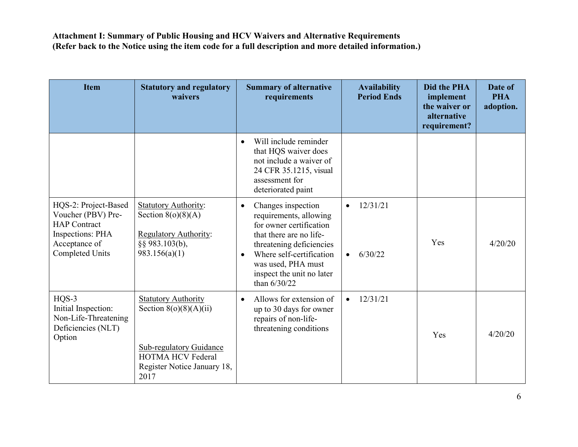| <b>Item</b>                                                                                                                             | <b>Statutory and regulatory</b><br>waivers                                                                                                                  | <b>Summary of alternative</b><br>requirements                                                                                                                                                                                                             | <b>Availability</b><br><b>Period Ends</b>     | Did the PHA<br>implement<br>the waiver or<br>alternative<br>requirement? | Date of<br><b>PHA</b><br>adoption. |
|-----------------------------------------------------------------------------------------------------------------------------------------|-------------------------------------------------------------------------------------------------------------------------------------------------------------|-----------------------------------------------------------------------------------------------------------------------------------------------------------------------------------------------------------------------------------------------------------|-----------------------------------------------|--------------------------------------------------------------------------|------------------------------------|
|                                                                                                                                         |                                                                                                                                                             | Will include reminder<br>$\bullet$<br>that HQS waiver does<br>not include a waiver of<br>24 CFR 35.1215, visual<br>assessment for<br>deteriorated paint                                                                                                   |                                               |                                                                          |                                    |
| HQS-2: Project-Based<br>Voucher (PBV) Pre-<br><b>HAP</b> Contract<br><b>Inspections: PHA</b><br>Acceptance of<br><b>Completed Units</b> | <b>Statutory Authority:</b><br>Section $8(o)(8)(A)$<br><b>Regulatory Authority:</b><br>§§ 983.103(b),<br>983.156(a)(1)                                      | Changes inspection<br>$\bullet$<br>requirements, allowing<br>for owner certification<br>that there are no life-<br>threatening deficiencies<br>Where self-certification<br>$\bullet$<br>was used, PHA must<br>inspect the unit no later<br>than $6/30/22$ | 12/31/21<br>$\bullet$<br>6/30/22<br>$\bullet$ | Yes                                                                      | 4/20/20                            |
| HQS-3<br>Initial Inspection:<br>Non-Life-Threatening<br>Deficiencies (NLT)<br>Option                                                    | <b>Statutory Authority</b><br>Section $8(o)(8)(A)(ii)$<br><b>Sub-regulatory Guidance</b><br><b>HOTMA HCV Federal</b><br>Register Notice January 18,<br>2017 | Allows for extension of<br>$\bullet$<br>up to 30 days for owner<br>repairs of non-life-<br>threatening conditions                                                                                                                                         | 12/31/21                                      | Yes                                                                      | 4/20/20                            |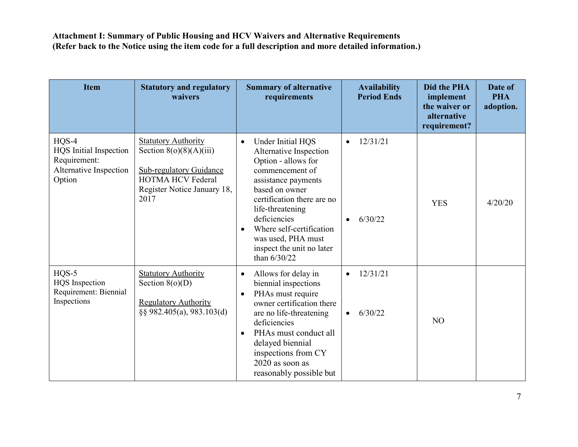| <b>Item</b>                                                                           | <b>Statutory and regulatory</b><br>waivers                                                                                                            | <b>Summary of alternative</b><br>requirements                                                                                                                                                                                                                                                                             | <b>Availability</b><br><b>Period Ends</b>     | Did the PHA<br>implement<br>the waiver or<br>alternative<br>requirement? | Date of<br><b>PHA</b><br>adoption. |
|---------------------------------------------------------------------------------------|-------------------------------------------------------------------------------------------------------------------------------------------------------|---------------------------------------------------------------------------------------------------------------------------------------------------------------------------------------------------------------------------------------------------------------------------------------------------------------------------|-----------------------------------------------|--------------------------------------------------------------------------|------------------------------------|
| $HQS-4$<br>HQS Initial Inspection<br>Requirement:<br>Alternative Inspection<br>Option | <b>Statutory Authority</b><br>Section $8(o)(8)(A)(iii)$<br>Sub-regulatory Guidance<br><b>HOTMA HCV Federal</b><br>Register Notice January 18,<br>2017 | Under Initial HQS<br>$\bullet$<br>Alternative Inspection<br>Option - allows for<br>commencement of<br>assistance payments<br>based on owner<br>certification there are no<br>life-threatening<br>deficiencies<br>Where self-certification<br>$\bullet$<br>was used, PHA must<br>inspect the unit no later<br>than 6/30/22 | 12/31/21<br>$\bullet$<br>6/30/22              | <b>YES</b>                                                               | 4/20/20                            |
| $HQS-5$<br><b>HQS</b> Inspection<br>Requirement: Biennial<br>Inspections              | <b>Statutory Authority</b><br>Section $8(o)(D)$<br><b>Regulatory Authority</b><br>§§ 982.405(a), 983.103(d)                                           | Allows for delay in<br>$\bullet$<br>biennial inspections<br>PHAs must require<br>$\bullet$<br>owner certification there<br>are no life-threatening<br>deficiencies<br>PHAs must conduct all<br>$\bullet$<br>delayed biennial<br>inspections from CY<br>$2020$ as soon as<br>reasonably possible but                       | 12/31/21<br>$\bullet$<br>6/30/22<br>$\bullet$ | N <sub>O</sub>                                                           |                                    |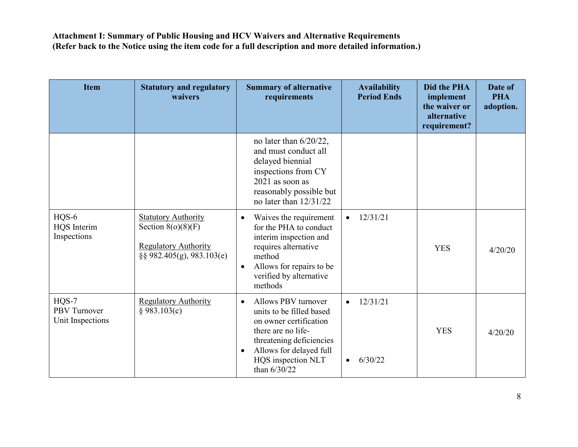| <b>Item</b>                                  | <b>Statutory and regulatory</b><br>waivers                                                                         | <b>Summary of alternative</b><br>requirements                                                                                                                                                                          | <b>Availability</b><br><b>Period Ends</b>     | Did the PHA<br>implement<br>the waiver or<br>alternative<br>requirement? | Date of<br><b>PHA</b><br>adoption. |
|----------------------------------------------|--------------------------------------------------------------------------------------------------------------------|------------------------------------------------------------------------------------------------------------------------------------------------------------------------------------------------------------------------|-----------------------------------------------|--------------------------------------------------------------------------|------------------------------------|
|                                              |                                                                                                                    | no later than 6/20/22,<br>and must conduct all<br>delayed biennial<br>inspections from CY<br>$2021$ as soon as<br>reasonably possible but<br>no later than 12/31/22                                                    |                                               |                                                                          |                                    |
| $HQS-6$<br><b>HQS</b> Interim<br>Inspections | <b>Statutory Authority</b><br>Section $8(o)(8)(F)$<br><b>Regulatory Authority</b><br>$\S$ § 982.405(g), 983.103(e) | Waives the requirement<br>$\bullet$<br>for the PHA to conduct<br>interim inspection and<br>requires alternative<br>method<br>Allows for repairs to be<br>$\bullet$<br>verified by alternative<br>methods               | 12/31/21<br>$\bullet$                         | <b>YES</b>                                                               | 4/20/20                            |
| $HQS-7$<br>PBV Turnover<br>Unit Inspections  | <b>Regulatory Authority</b><br>§ 983.103(c)                                                                        | Allows PBV turnover<br>$\bullet$<br>units to be filled based<br>on owner certification<br>there are no life-<br>threatening deficiencies<br>Allows for delayed full<br>$\bullet$<br>HQS inspection NLT<br>than 6/30/22 | 12/31/21<br>$\bullet$<br>6/30/22<br>$\bullet$ | <b>YES</b>                                                               | 4/20/20                            |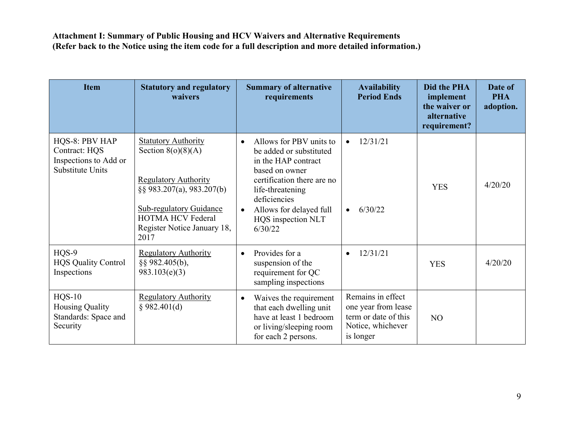| <b>Item</b>                                                                  | <b>Statutory and regulatory</b><br>waivers                                                                                                                                                                              | <b>Summary of alternative</b><br>requirements                                                                                                                                                                                                       | <b>Availability</b><br><b>Period Ends</b>                                                          | <b>Did the PHA</b><br>implement<br>the waiver or<br>alternative<br>requirement? | Date of<br><b>PHA</b><br>adoption. |
|------------------------------------------------------------------------------|-------------------------------------------------------------------------------------------------------------------------------------------------------------------------------------------------------------------------|-----------------------------------------------------------------------------------------------------------------------------------------------------------------------------------------------------------------------------------------------------|----------------------------------------------------------------------------------------------------|---------------------------------------------------------------------------------|------------------------------------|
| HQS-8: PBV HAP<br>Contract: HQS<br>Inspections to Add or<br>Substitute Units | <b>Statutory Authority</b><br>Section $8(o)(8)(A)$<br><b>Regulatory Authority</b><br>$\S$ § 983.207(a), 983.207(b)<br><b>Sub-regulatory Guidance</b><br><b>HOTMA HCV Federal</b><br>Register Notice January 18,<br>2017 | Allows for PBV units to<br>$\bullet$<br>be added or substituted<br>in the HAP contract<br>based on owner<br>certification there are no<br>life-threatening<br>deficiencies<br>Allows for delayed full<br>$\bullet$<br>HQS inspection NLT<br>6/30/22 | 12/31/21<br>$\bullet$<br>6/30/22<br>$\bullet$                                                      | <b>YES</b>                                                                      | 4/20/20                            |
| HQS-9<br><b>HQS Quality Control</b><br>Inspections                           | <b>Regulatory Authority</b><br>§§ 982.405(b),<br>983.103(e)(3)                                                                                                                                                          | Provides for a<br>$\bullet$<br>suspension of the<br>requirement for QC<br>sampling inspections                                                                                                                                                      | 12/31/21                                                                                           | <b>YES</b>                                                                      | 4/20/20                            |
| $HQS-10$<br><b>Housing Quality</b><br>Standards: Space and<br>Security       | <b>Regulatory Authority</b><br>§ 982.401(d)                                                                                                                                                                             | Waives the requirement<br>$\bullet$<br>that each dwelling unit<br>have at least 1 bedroom<br>or living/sleeping room<br>for each 2 persons.                                                                                                         | Remains in effect<br>one year from lease<br>term or date of this<br>Notice, whichever<br>is longer | N <sub>O</sub>                                                                  |                                    |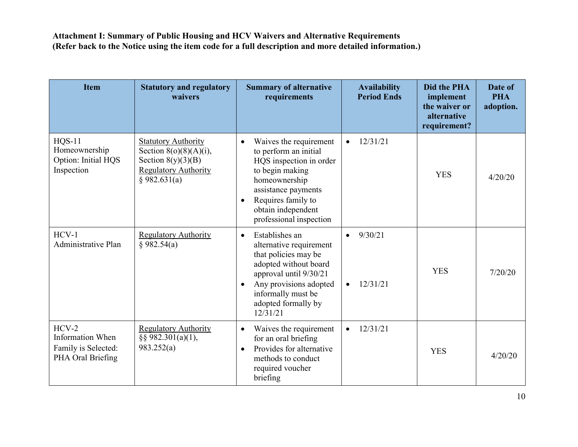| <b>Item</b>                                                                    | <b>Statutory and regulatory</b><br>waivers                                                                                     | <b>Summary of alternative</b><br>requirements                                                                                                                                                                                          | <b>Availability</b><br><b>Period Ends</b>     | Did the PHA<br>implement<br>the waiver or<br>alternative<br>requirement? | Date of<br><b>PHA</b><br>adoption. |
|--------------------------------------------------------------------------------|--------------------------------------------------------------------------------------------------------------------------------|----------------------------------------------------------------------------------------------------------------------------------------------------------------------------------------------------------------------------------------|-----------------------------------------------|--------------------------------------------------------------------------|------------------------------------|
| <b>HOS-11</b><br>Homeownership<br>Option: Initial HQS<br>Inspection            | <b>Statutory Authority</b><br>Section $8(o)(8)(A)(i)$ ,<br>Section $8(y)(3)(B)$<br><b>Regulatory Authority</b><br>§ 982.631(a) | Waives the requirement<br>$\bullet$<br>to perform an initial<br>HQS inspection in order<br>to begin making<br>homeownership<br>assistance payments<br>Requires family to<br>$\bullet$<br>obtain independent<br>professional inspection | 12/31/21<br>$\bullet$                         | <b>YES</b>                                                               | 4/20/20                            |
| $HCV-1$<br>Administrative Plan                                                 | <b>Regulatory Authority</b><br>§ 982.54(a)                                                                                     | Establishes an<br>$\bullet$<br>alternative requirement<br>that policies may be<br>adopted without board<br>approval until 9/30/21<br>Any provisions adopted<br>$\bullet$<br>informally must be<br>adopted formally by<br>12/31/21      | 9/30/21<br>$\bullet$<br>12/31/21<br>$\bullet$ | <b>YES</b>                                                               | 7/20/20                            |
| $HCV-2$<br><b>Information When</b><br>Family is Selected:<br>PHA Oral Briefing | <b>Regulatory Authority</b><br>§§ 982.301(a)(1),<br>983.252(a)                                                                 | Waives the requirement<br>$\bullet$<br>for an oral briefing<br>Provides for alternative<br>$\bullet$<br>methods to conduct<br>required voucher<br>briefing                                                                             | 12/31/21<br>$\bullet$                         | <b>YES</b>                                                               | 4/20/20                            |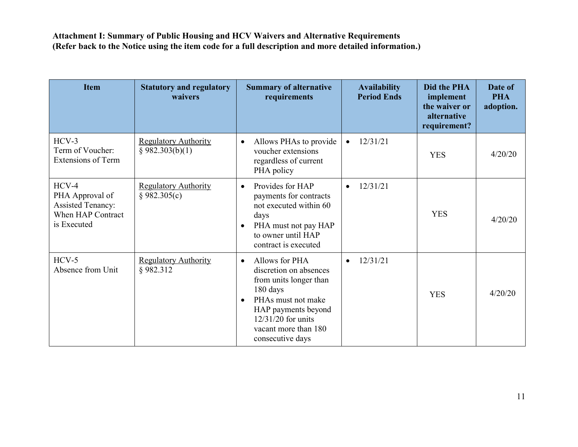| <b>Item</b>                                                                                | <b>Statutory and regulatory</b><br>waivers     | <b>Summary of alternative</b><br>requirements                                                                                                                                                                           | <b>Availability</b><br><b>Period Ends</b> | Did the PHA<br>implement<br>the waiver or<br>alternative<br>requirement? | Date of<br><b>PHA</b><br>adoption. |
|--------------------------------------------------------------------------------------------|------------------------------------------------|-------------------------------------------------------------------------------------------------------------------------------------------------------------------------------------------------------------------------|-------------------------------------------|--------------------------------------------------------------------------|------------------------------------|
| $HCV-3$<br>Term of Voucher:<br><b>Extensions of Term</b>                                   | <b>Regulatory Authority</b><br>§ 982.303(b)(1) | Allows PHAs to provide<br>$\bullet$<br>voucher extensions<br>regardless of current<br>PHA policy                                                                                                                        | 12/31/21<br>$\bullet$                     | <b>YES</b>                                                               | 4/20/20                            |
| $HCV-4$<br>PHA Approval of<br><b>Assisted Tenancy:</b><br>When HAP Contract<br>is Executed | <b>Regulatory Authority</b><br>§ 982.305(c)    | Provides for HAP<br>$\bullet$<br>payments for contracts<br>not executed within 60<br>days<br>PHA must not pay HAP<br>$\bullet$<br>to owner until HAP<br>contract is executed                                            | 12/31/21<br>$\bullet$                     | <b>YES</b>                                                               | 4/20/20                            |
| $HCV-5$<br>Absence from Unit                                                               | <b>Regulatory Authority</b><br>§982.312        | Allows for PHA<br>$\bullet$<br>discretion on absences<br>from units longer than<br>180 days<br>PHAs must not make<br>$\bullet$<br>HAP payments beyond<br>12/31/20 for units<br>vacant more than 180<br>consecutive days | 12/31/21<br>$\bullet$                     | <b>YES</b>                                                               | 4/20/20                            |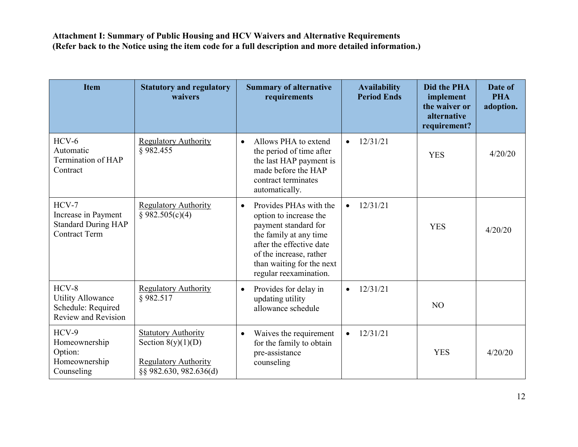| <b>Item</b>                                                                          | <b>Statutory and regulatory</b><br>waivers                                                                  | <b>Summary of alternative</b><br>requirements                                                                                                                                                                                 | <b>Availability</b><br><b>Period Ends</b> | <b>Did the PHA</b><br>implement<br>the waiver or<br>alternative<br>requirement? | Date of<br><b>PHA</b><br>adoption. |
|--------------------------------------------------------------------------------------|-------------------------------------------------------------------------------------------------------------|-------------------------------------------------------------------------------------------------------------------------------------------------------------------------------------------------------------------------------|-------------------------------------------|---------------------------------------------------------------------------------|------------------------------------|
| $HCV-6$<br>Automatic<br>Termination of HAP<br>Contract                               | <b>Regulatory Authority</b><br>§982.455                                                                     | Allows PHA to extend<br>$\bullet$<br>the period of time after<br>the last HAP payment is<br>made before the HAP<br>contract terminates<br>automatically.                                                                      | 12/31/21<br>$\bullet$                     | <b>YES</b>                                                                      | 4/20/20                            |
| $HCV-7$<br>Increase in Payment<br><b>Standard During HAP</b><br><b>Contract Term</b> | <b>Regulatory Authority</b><br>§ 982.505(c)(4)                                                              | Provides PHAs with the<br>$\bullet$<br>option to increase the<br>payment standard for<br>the family at any time<br>after the effective date<br>of the increase, rather<br>than waiting for the next<br>regular reexamination. | 12/31/21<br>$\bullet$                     | <b>YES</b>                                                                      | 4/20/20                            |
| $HCV-8$<br><b>Utility Allowance</b><br>Schedule: Required<br>Review and Revision     | <b>Regulatory Authority</b><br>§982.517                                                                     | Provides for delay in<br>$\bullet$<br>updating utility<br>allowance schedule                                                                                                                                                  | 12/31/21<br>$\bullet$                     | N <sub>O</sub>                                                                  |                                    |
| HCV-9<br>Homeownership<br>Option:<br>Homeownership<br>Counseling                     | <b>Statutory Authority</b><br>Section $8(y)(1)(D)$<br><b>Regulatory Authority</b><br>§§ 982.630, 982.636(d) | Waives the requirement<br>$\bullet$<br>for the family to obtain<br>pre-assistance<br>counseling                                                                                                                               | 12/31/21<br>$\bullet$                     | <b>YES</b>                                                                      | 4/20/20                            |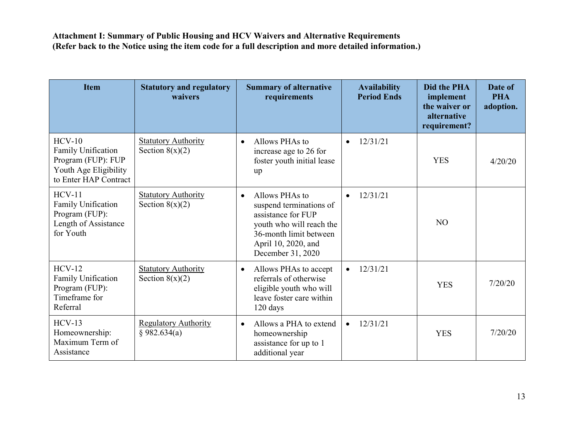| <b>Item</b>                                                                                                   | <b>Statutory and regulatory</b><br>waivers      | <b>Summary of alternative</b><br>requirements                                                                                                                                  | <b>Availability</b><br><b>Period Ends</b> | <b>Did the PHA</b><br>implement<br>the waiver or<br>alternative<br>requirement? | Date of<br><b>PHA</b><br>adoption. |
|---------------------------------------------------------------------------------------------------------------|-------------------------------------------------|--------------------------------------------------------------------------------------------------------------------------------------------------------------------------------|-------------------------------------------|---------------------------------------------------------------------------------|------------------------------------|
| $HCV-10$<br><b>Family Unification</b><br>Program (FUP): FUP<br>Youth Age Eligibility<br>to Enter HAP Contract | <b>Statutory Authority</b><br>Section $8(x)(2)$ | Allows PHAs to<br>$\bullet$<br>increase age to 26 for<br>foster youth initial lease<br>up                                                                                      | 12/31/21<br>$\bullet$                     | <b>YES</b>                                                                      | 4/20/20                            |
| $HCV-11$<br><b>Family Unification</b><br>Program (FUP):<br>Length of Assistance<br>for Youth                  | <b>Statutory Authority</b><br>Section $8(x)(2)$ | Allows PHAs to<br>$\bullet$<br>suspend terminations of<br>assistance for FUP<br>youth who will reach the<br>36-month limit between<br>April 10, 2020, and<br>December 31, 2020 | 12/31/21<br>$\bullet$                     | N <sub>O</sub>                                                                  |                                    |
| $HCV-12$<br><b>Family Unification</b><br>Program (FUP):<br>Timeframe for<br>Referral                          | <b>Statutory Authority</b><br>Section $8(x)(2)$ | Allows PHAs to accept<br>$\bullet$<br>referrals of otherwise<br>eligible youth who will<br>leave foster care within<br>120 days                                                | 12/31/21<br>$\bullet$                     | <b>YES</b>                                                                      | 7/20/20                            |
| $HCV-13$<br>Homeownership:<br>Maximum Term of<br>Assistance                                                   | <b>Regulatory Authority</b><br>§ 982.634(a)     | Allows a PHA to extend<br>$\bullet$<br>homeownership<br>assistance for up to 1<br>additional year                                                                              | 12/31/21<br>$\bullet$                     | <b>YES</b>                                                                      | 7/20/20                            |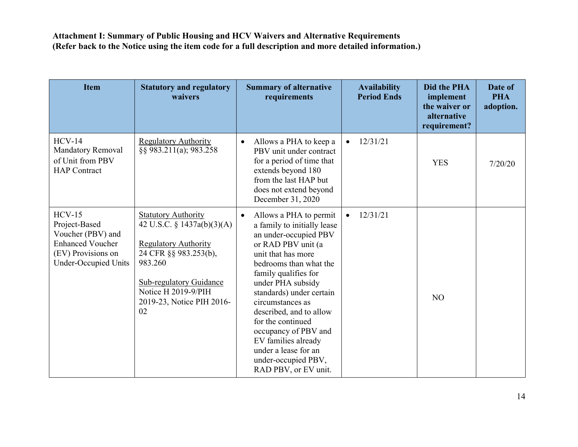| <b>Item</b>                                                                                                                    | <b>Statutory and regulatory</b><br>waivers                                                                                                                                                                              | <b>Summary of alternative</b><br>requirements                                                                                                                                                                                                                                                                                                                                                                                        | <b>Availability</b><br><b>Period Ends</b> | <b>Did the PHA</b><br>implement<br>the waiver or<br>alternative<br>requirement? | Date of<br><b>PHA</b><br>adoption. |
|--------------------------------------------------------------------------------------------------------------------------------|-------------------------------------------------------------------------------------------------------------------------------------------------------------------------------------------------------------------------|--------------------------------------------------------------------------------------------------------------------------------------------------------------------------------------------------------------------------------------------------------------------------------------------------------------------------------------------------------------------------------------------------------------------------------------|-------------------------------------------|---------------------------------------------------------------------------------|------------------------------------|
| $HCV-14$<br>Mandatory Removal<br>of Unit from PBV<br><b>HAP</b> Contract                                                       | <b>Regulatory Authority</b><br>§§ 983.211(a); 983.258                                                                                                                                                                   | Allows a PHA to keep a<br>$\bullet$<br>PBV unit under contract<br>for a period of time that<br>extends beyond 180<br>from the last HAP but<br>does not extend beyond<br>December 31, 2020                                                                                                                                                                                                                                            | 12/31/21<br>$\bullet$                     | <b>YES</b>                                                                      | 7/20/20                            |
| $HCV-15$<br>Project-Based<br>Voucher (PBV) and<br><b>Enhanced Voucher</b><br>(EV) Provisions on<br><b>Under-Occupied Units</b> | <b>Statutory Authority</b><br>42 U.S.C. § 1437a(b)(3)(A)<br><b>Regulatory Authority</b><br>24 CFR §§ 983.253(b),<br>983.260<br><b>Sub-regulatory Guidance</b><br>Notice H 2019-9/PIH<br>2019-23, Notice PIH 2016-<br>02 | Allows a PHA to permit<br>$\bullet$<br>a family to initially lease<br>an under-occupied PBV<br>or RAD PBV unit (a<br>unit that has more<br>bedrooms than what the<br>family qualifies for<br>under PHA subsidy<br>standards) under certain<br>circumstances as<br>described, and to allow<br>for the continued<br>occupancy of PBV and<br>EV families already<br>under a lease for an<br>under-occupied PBV,<br>RAD PBV, or EV unit. | 12/31/21<br>$\bullet$                     | N <sub>O</sub>                                                                  |                                    |